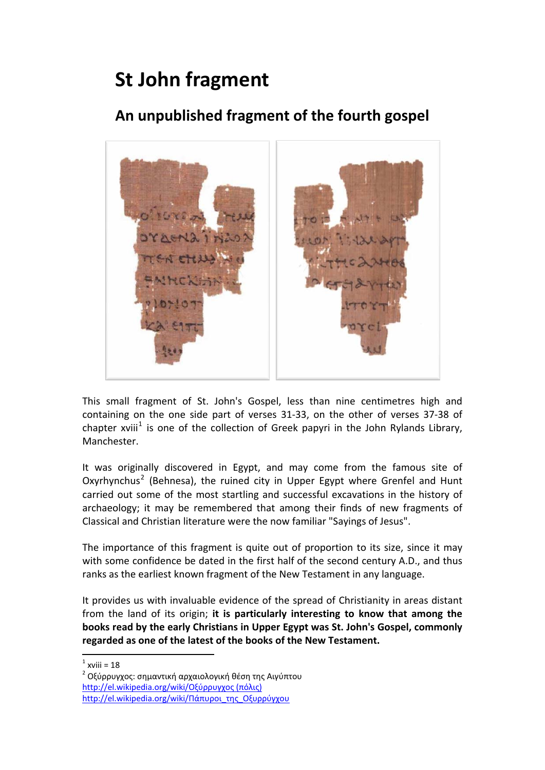## **St John fragment**

## **An unpublished fragment of the fourth gospel**



This small fragment of St. John's Gospel, less than nine centimetres high and containing on the one side part of verses 31‐33, on the other of verses 37‐38 of chapter xviii<sup>[1](#page-0-0)</sup> is one of the collection of Greek papyri in the John Rylands Library, Manchester.

It was originally discovered in Egypt, and may come from the famous site of Oxyrhynchus[2](#page-0-1) (Behnesa), the ruined city in Upper Egypt where Grenfel and Hunt carried out some of the most startling and successful excavations in the history of archaeology; it may be remembered that among their finds of new fragments of Classical and Christian literature were the now familiar "Sayings of Jesus".

The importance of this fragment is quite out of proportion to its size, since it may with some confidence be dated in the first half of the second century A.D., and thus ranks as the earliest known fragment of the New Testament in any language.

It provides us with invaluable evidence of the spread of Christianity in areas distant from the land of its origin; **it is particularly interesting to know that among the books read by the early Christians in Upper Egypt was St. John's Gospel, commonly regarded as one of the latest of the books of the New Testament.**

  $1$  xviii = 18

<span id="page-0-1"></span><span id="page-0-0"></span>Οξύρρυγχος: σημαντική αρχαιολογική θέση της Αιγύπτου [http://el.wikipedia.org/wiki/](http://el.wikipedia.org/wiki/%CE%9F%CE%BE%CF%8D%CF%81%CF%81%CF%85%CE%B3%CF%87%CE%BF%CF%82%20(%CF%80%CF%8C%CE%BB%CE%B9%CF%82))Οξύρρυγχος (πόλις) [http://el.wikipedia.org/wiki/](http://el.wikipedia.org/wiki/%CE%A0%CE%AC%CF%80%CF%85%CF%81%CE%BF%CE%B9_%CF%84%CE%B7%CF%82_%CE%9F%CE%BE%CF%85%CF%81%CF%81%CF%8D%CE%B3%CF%87%CE%BF%CF%85)Πάπυροι\_της\_Οξυρρύγχου